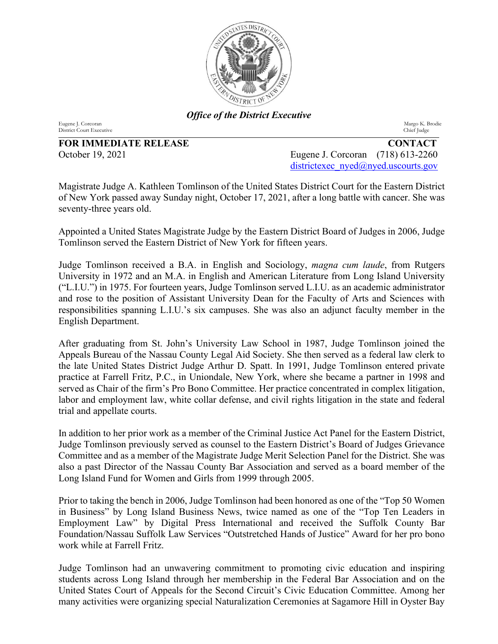

*Office of the District Executive*

Eugene J. Corcoran Margo K. Brodie

**FOR IMMEDIATE RELEASE CONTACT**

District Court Executive

October 19, 2021 Eugene J. Corcoran (718) 613-2260 [districtexec\\_nyed@nyed.uscourts.gov](mailto:districtexec_nyed@nyed.uscourts.gov)

Magistrate Judge A. Kathleen Tomlinson of the United States District Court for the Eastern District of New York passed away Sunday night, October 17, 2021, after a long battle with cancer. She was seventy-three years old.

Appointed a United States Magistrate Judge by the Eastern District Board of Judges in 2006, Judge Tomlinson served the Eastern District of New York for fifteen years.

Judge Tomlinson received a B.A. in English and Sociology, *magna cum laude*, from Rutgers University in 1972 and an M.A. in English and American Literature from Long Island University ("L.I.U.") in 1975. For fourteen years, Judge Tomlinson served L.I.U. as an academic administrator and rose to the position of Assistant University Dean for the Faculty of Arts and Sciences with responsibilities spanning L.I.U.'s six campuses. She was also an adjunct faculty member in the English Department.

After graduating from St. John's University Law School in 1987, Judge Tomlinson joined the Appeals Bureau of the Nassau County Legal Aid Society. She then served as a federal law clerk to the late United States District Judge Arthur D. Spatt. In 1991, Judge Tomlinson entered private practice at Farrell Fritz, P.C., in Uniondale, New York, where she became a partner in 1998 and served as Chair of the firm's Pro Bono Committee. Her practice concentrated in complex litigation, labor and employment law, white collar defense, and civil rights litigation in the state and federal trial and appellate courts.

In addition to her prior work as a member of the Criminal Justice Act Panel for the Eastern District, Judge Tomlinson previously served as counsel to the Eastern District's Board of Judges Grievance Committee and as a member of the Magistrate Judge Merit Selection Panel for the District. She was also a past Director of the Nassau County Bar Association and served as a board member of the Long Island Fund for Women and Girls from 1999 through 2005.

Prior to taking the bench in 2006, Judge Tomlinson had been honored as one of the "Top 50 Women in Business" by Long Island Business News, twice named as one of the "Top Ten Leaders in Employment Law" by Digital Press International and received the Suffolk County Bar Foundation/Nassau Suffolk Law Services "Outstretched Hands of Justice" Award for her pro bono work while at Farrell Fritz.

Judge Tomlinson had an unwavering commitment to promoting civic education and inspiring students across Long Island through her membership in the Federal Bar Association and on the United States Court of Appeals for the Second Circuit's Civic Education Committee. Among her many activities were organizing special Naturalization Ceremonies at Sagamore Hill in Oyster Bay